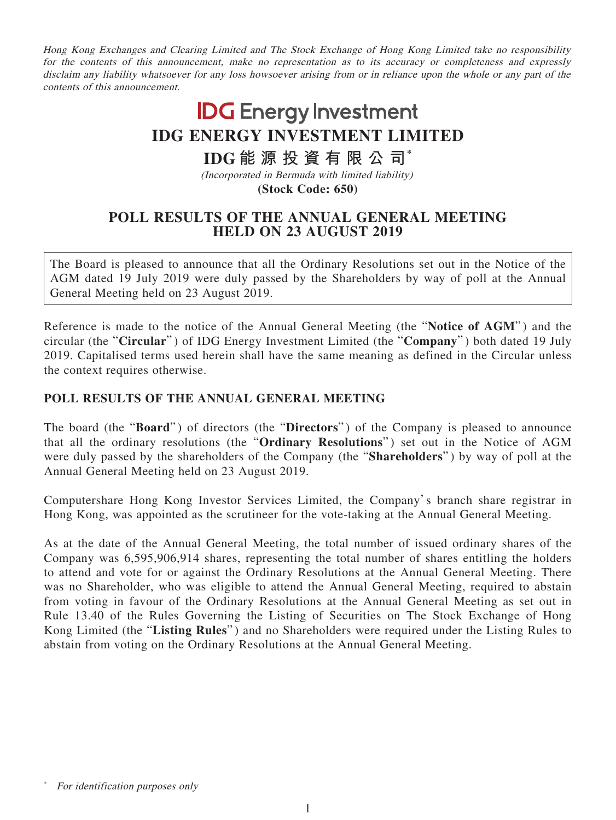Hong Kong Exchanges and Clearing Limited and The Stock Exchange of Hong Kong Limited take no responsibility for the contents of this announcement, make no representation as to its accuracy or completeness and expressly disclaim any liability whatsoever for any loss howsoever arising from or in reliance upon the whole or any part of the contents of this announcement.

## **IDG** Energy Investment **IDG ENERGY INVESTMENT LIMITED IDG 能源投資有限公司\***

(Incorporated in Bermuda with limited liability) **(Stock Code: 650)**

## **POLL RESULTS OF THE ANNUAL GENERAL MEETING HELD ON 23 AUGUST 2019**

The Board is pleased to announce that all the Ordinary Resolutions set out in the Notice of the AGM dated 19 July 2019 were duly passed by the Shareholders by way of poll at the Annual General Meeting held on 23 August 2019.

Reference is made to the notice of the Annual General Meeting (the "**Notice of AGM**" ) and the circular (the "**Circular**" ) of IDG Energy Investment Limited (the "**Company**" ) both dated 19 July 2019. Capitalised terms used herein shall have the same meaning as defined in the Circular unless the context requires otherwise.

## **POLL RESULTS OF THE ANNUAL GENERAL MEETING**

The board (the "**Board**" ) of directors (the "**Directors**" ) of the Company is pleased to announce that all the ordinary resolutions (the "**Ordinary Resolutions**") set out in the Notice of AGM were duly passed by the shareholders of the Company (the "**Shareholders**" ) by way of poll at the Annual General Meeting held on 23 August 2019.

Computershare Hong Kong Investor Services Limited, the Company's branch share registrar in Hong Kong, was appointed as the scrutineer for the vote-taking at the Annual General Meeting.

As at the date of the Annual General Meeting, the total number of issued ordinary shares of the Company was 6,595,906,914 shares, representing the total number of shares entitling the holders to attend and vote for or against the Ordinary Resolutions at the Annual General Meeting. There was no Shareholder, who was eligible to attend the Annual General Meeting, required to abstain from voting in favour of the Ordinary Resolutions at the Annual General Meeting as set out in Rule 13.40 of the Rules Governing the Listing of Securities on The Stock Exchange of Hong Kong Limited (the "**Listing Rules**" ) and no Shareholders were required under the Listing Rules to abstain from voting on the Ordinary Resolutions at the Annual General Meeting.

For identification purposes only